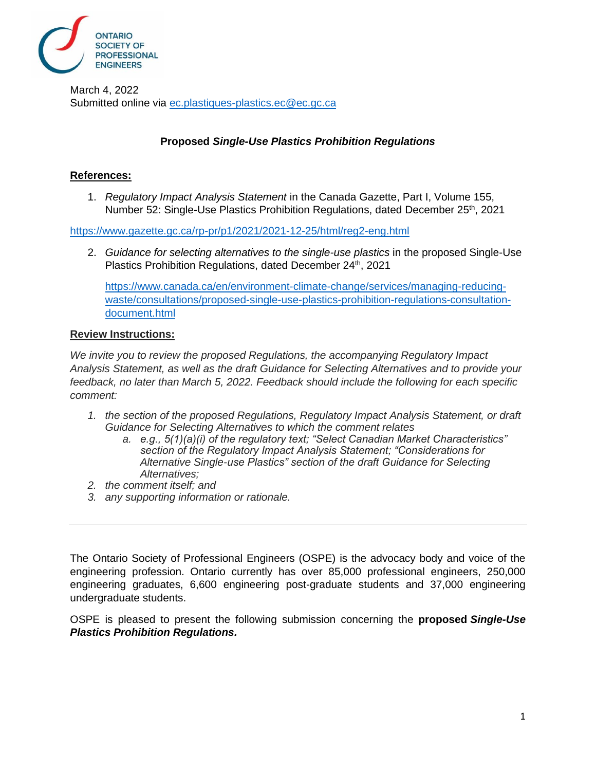

March 4, 2022 Submitted online via [ec.plastiques-plastics.ec@ec.gc.ca](mailto:ec.plastiques-plastics.ec@ec.gc.ca)

## **Proposed** *Single-Use Plastics Prohibition Regulations*

## **References:**

1. *Regulatory Impact Analysis Statement* in the Canada Gazette, Part I, Volume 155, Number 52: Single-Use Plastics Prohibition Regulations, dated December 25<sup>th</sup>, 2021

<https://www.gazette.gc.ca/rp-pr/p1/2021/2021-12-25/html/reg2-eng.html>

2. *Guidance for selecting alternatives to the single-use plastics* in the proposed Single-Use Plastics Prohibition Regulations, dated December 24th, 2021

[https://www.canada.ca/en/environment-climate-change/services/managing-reducing](https://www.canada.ca/en/environment-climate-change/services/managing-reducing-waste/consultations/proposed-single-use-plastics-prohibition-regulations-consultation-document.html)[waste/consultations/proposed-single-use-plastics-prohibition-regulations-consultation](https://www.canada.ca/en/environment-climate-change/services/managing-reducing-waste/consultations/proposed-single-use-plastics-prohibition-regulations-consultation-document.html)[document.html](https://www.canada.ca/en/environment-climate-change/services/managing-reducing-waste/consultations/proposed-single-use-plastics-prohibition-regulations-consultation-document.html)

#### **Review Instructions:**

*We invite you to review the proposed Regulations, the accompanying Regulatory Impact Analysis Statement, as well as the draft Guidance for Selecting Alternatives and to provide your feedback, no later than March 5, 2022. Feedback should include the following for each specific comment:*

- *1. the section of the proposed Regulations, Regulatory Impact Analysis Statement, or draft Guidance for Selecting Alternatives to which the comment relates*
	- *a. e.g., 5(1)(a)(i) of the regulatory text; "Select Canadian Market Characteristics" section of the Regulatory Impact Analysis Statement; "Considerations for Alternative Single-use Plastics" section of the draft Guidance for Selecting Alternatives;*
- *2. the comment itself; and*
- *3. any supporting information or rationale.*

The Ontario Society of Professional Engineers (OSPE) is the advocacy body and voice of the engineering profession. Ontario currently has over 85,000 professional engineers, 250,000 engineering graduates, 6,600 engineering post-graduate students and 37,000 engineering undergraduate students.

OSPE is pleased to present the following submission concerning the **proposed** *Single-Use Plastics Prohibition Regulations.*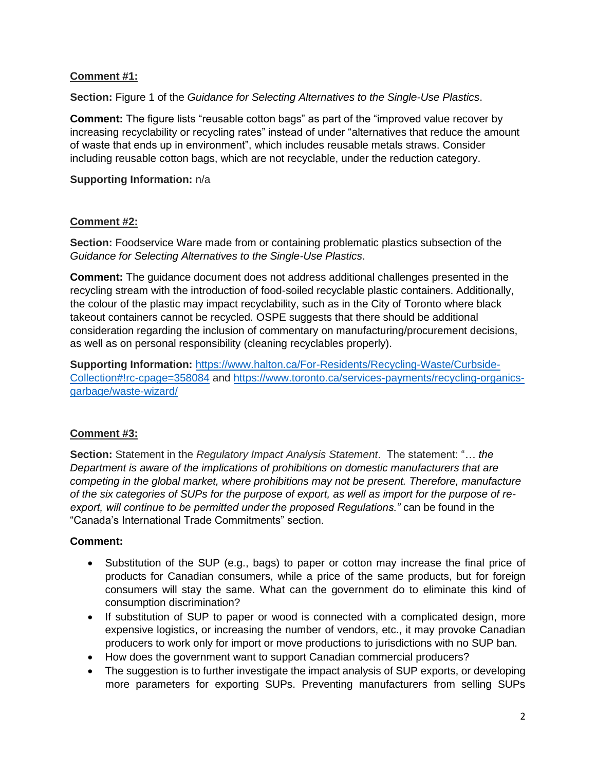## **Comment #1:**

**Section:** Figure 1 of the *Guidance for Selecting Alternatives to the Single-Use Plastics*.

**Comment:** The figure lists "reusable cotton bags" as part of the "improved value recover by increasing recyclability or recycling rates" instead of under "alternatives that reduce the amount of waste that ends up in environment", which includes reusable metals straws. Consider including reusable cotton bags, which are not recyclable, under the reduction category.

## **Supporting Information:** n/a

## **Comment #2:**

**Section:** Foodservice Ware made from or containing problematic plastics subsection of the *Guidance for Selecting Alternatives to the Single-Use Plastics*.

**Comment:** The guidance document does not address additional challenges presented in the recycling stream with the introduction of food-soiled recyclable plastic containers. Additionally, the colour of the plastic may impact recyclability, such as in the City of Toronto where black takeout containers cannot be recycled. OSPE suggests that there should be additional consideration regarding the inclusion of commentary on manufacturing/procurement decisions, as well as on personal responsibility (cleaning recyclables properly).

**Supporting Information:** [https://www.halton.ca/For-Residents/Recycling-Waste/Curbside-](https://www.halton.ca/For-Residents/Recycling-Waste/Curbside-Collection#!rc-cpage=358084)[Collection#!rc-cpage=358084](https://www.halton.ca/For-Residents/Recycling-Waste/Curbside-Collection#!rc-cpage=358084) and [https://www.toronto.ca/services-payments/recycling-organics](https://www.halton.ca/For-Residents/Recycling-Waste/Curbside-Collection#!rc-cpage=358084    https://www.toronto.ca/services-payments/recycling-organics-garbage/waste-wizard/)[garbage/waste-wizard/](https://www.halton.ca/For-Residents/Recycling-Waste/Curbside-Collection#!rc-cpage=358084    https://www.toronto.ca/services-payments/recycling-organics-garbage/waste-wizard/) 

# **Comment #3:**

**Section:** Statement in the *Regulatory Impact Analysis Statement*. The statement: "*… the Department is aware of the implications of prohibitions on domestic manufacturers that are competing in the global market, where prohibitions may not be present. Therefore, manufacture of the six categories of SUPs for the purpose of export, as well as import for the purpose of reexport, will continue to be permitted under the proposed Regulations."* can be found in the "Canada's International Trade Commitments" section.

# **Comment:**

- Substitution of the SUP (e.g., bags) to paper or cotton may increase the final price of products for Canadian consumers, while a price of the same products, but for foreign consumers will stay the same. What can the government do to eliminate this kind of consumption discrimination?
- If substitution of SUP to paper or wood is connected with a complicated design, more expensive logistics, or increasing the number of vendors, etc., it may provoke Canadian producers to work only for import or move productions to jurisdictions with no SUP ban.
- How does the government want to support Canadian commercial producers?
- The suggestion is to further investigate the impact analysis of SUP exports, or developing more parameters for exporting SUPs. Preventing manufacturers from selling SUPs